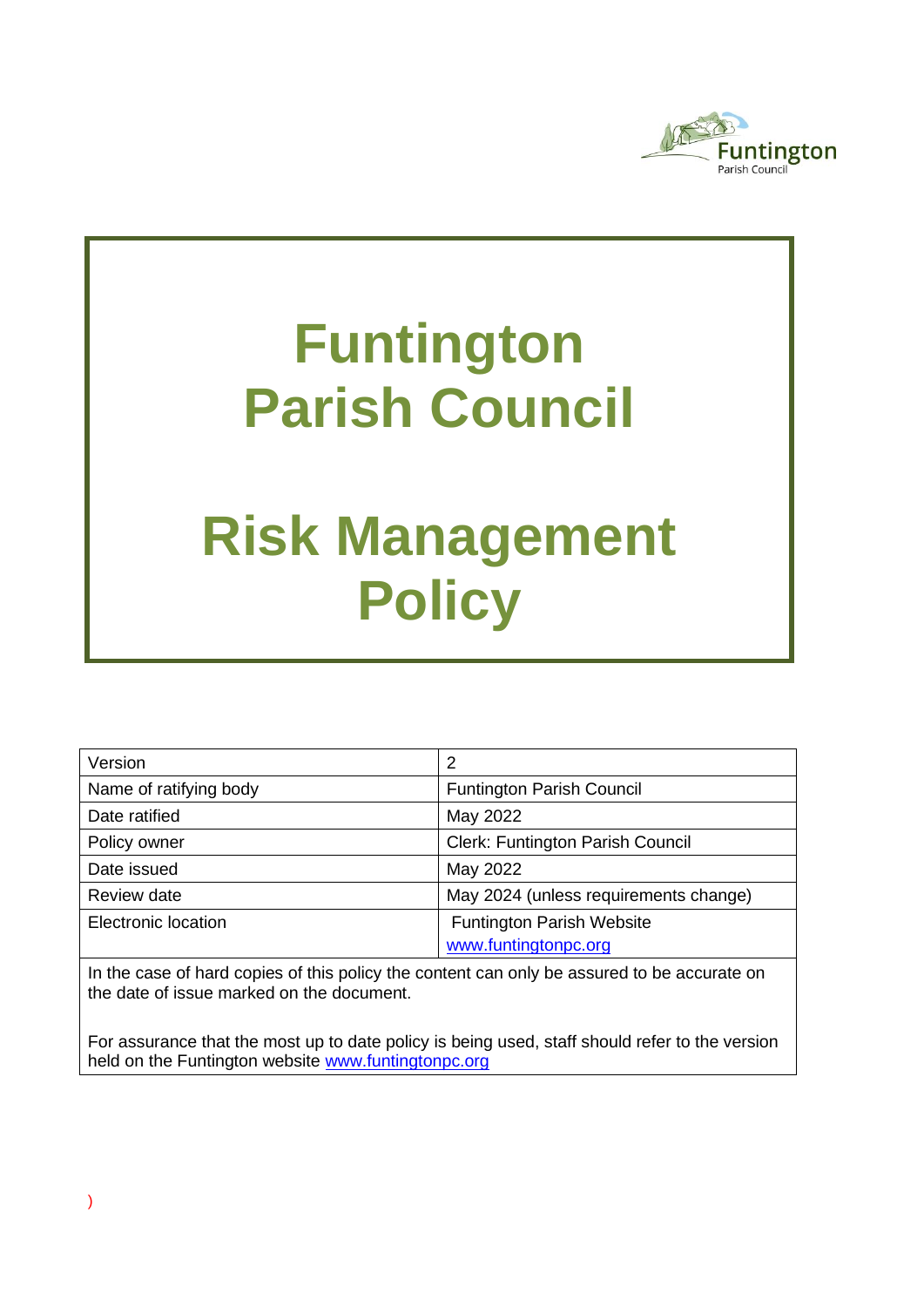

# **Funtington Parish Council**

# **Risk Management Policy**

| Version                | 2                                       |  |
|------------------------|-----------------------------------------|--|
| Name of ratifying body | <b>Funtington Parish Council</b>        |  |
| Date ratified          | May 2022                                |  |
| Policy owner           | <b>Clerk: Funtington Parish Council</b> |  |
| Date issued            | May 2022                                |  |
| Review date            | May 2024 (unless requirements change)   |  |
| Electronic location    | <b>Funtington Parish Website</b>        |  |
|                        | www.funtingtonpc.org                    |  |

In the case of hard copies of this policy the content can only be assured to be accurate on the date of issue marked on the document.

For assurance that the most up to date policy is being used, staff should refer to the version held on the Funtington website [www.funtingtonpc.org](../../../../../../GDPR/2021/Draft%20GDPR%20policies/www.funtingtonpc.org)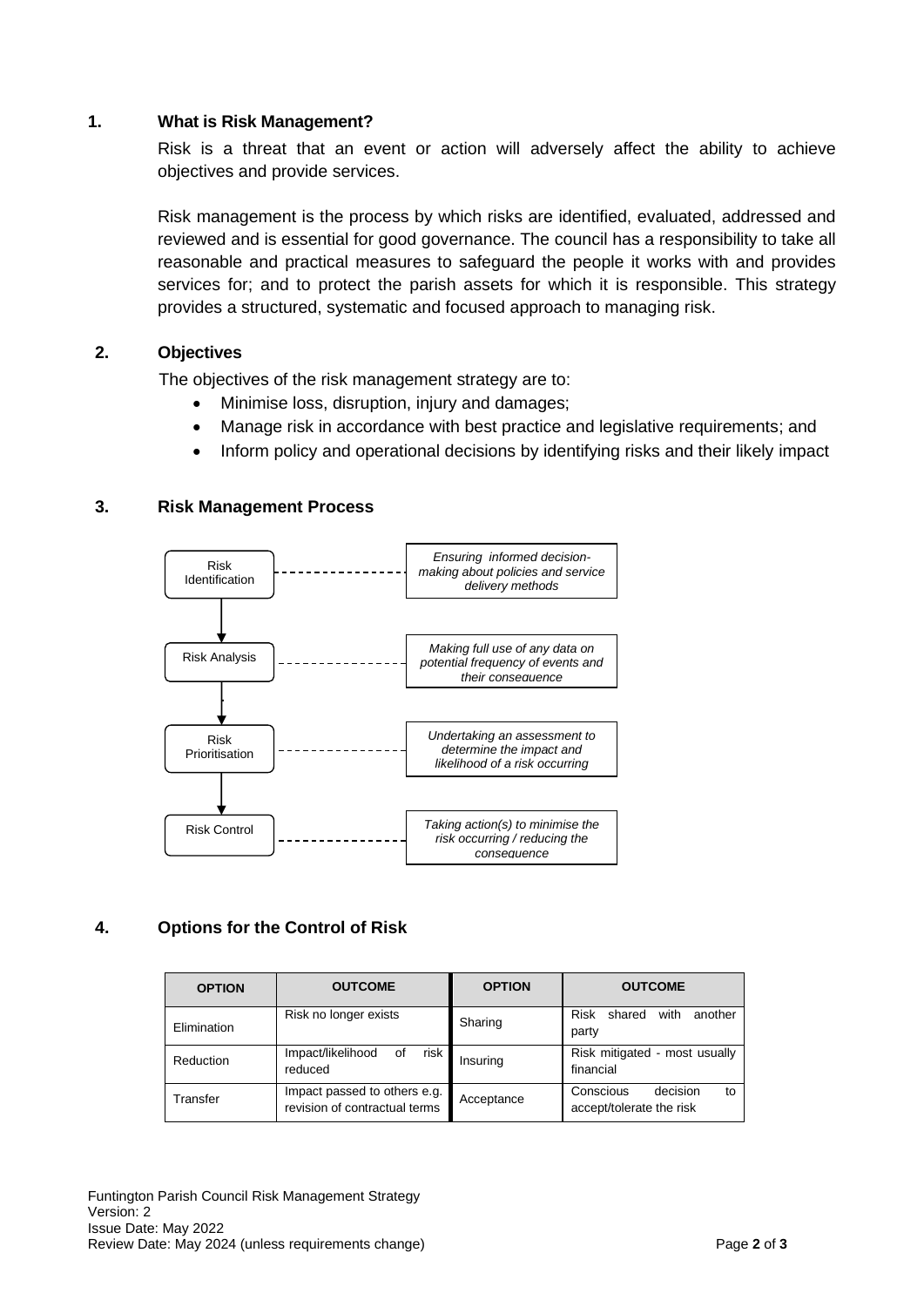#### **1. What is Risk Management?**

Risk is a threat that an event or action will adversely affect the ability to achieve objectives and provide services.

Risk management is the process by which risks are identified, evaluated, addressed and reviewed and is essential for good governance. The council has a responsibility to take all reasonable and practical measures to safeguard the people it works with and provides services for; and to protect the parish assets for which it is responsible. This strategy provides a structured, systematic and focused approach to managing risk.

# **2. Objectives**

The objectives of the risk management strategy are to:

- Minimise loss, disruption, injury and damages;
- Manage risk in accordance with best practice and legislative requirements; and
- Inform policy and operational decisions by identifying risks and their likely impact

#### **3. Risk Management Process**



# **4. Options for the Control of Risk**

| <b>OPTION</b> | <b>OUTCOME</b>                                                | <b>OPTION</b> | <b>OUTCOME</b>                                          |
|---------------|---------------------------------------------------------------|---------------|---------------------------------------------------------|
| Elimination   | Risk no longer exists                                         | Sharing       | Risk shared<br>with<br>another<br>party                 |
| Reduction     | Impact/likelihood<br>risk<br>0f<br>reduced                    | Insuring      | Risk mitigated - most usually<br>financial              |
| Transfer      | Impact passed to others e.g.<br>revision of contractual terms | Acceptance    | Conscious<br>decision<br>to<br>accept/tolerate the risk |